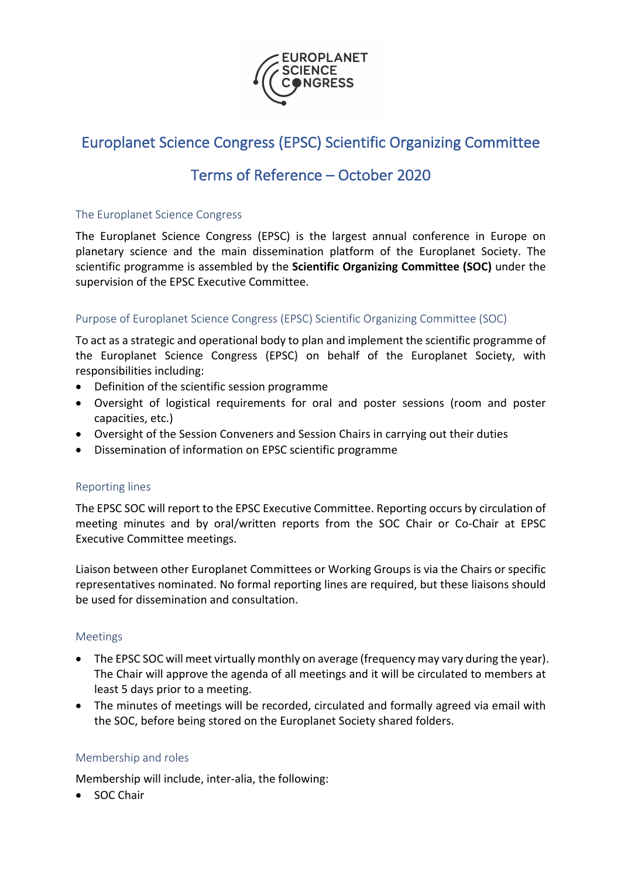

# Europlanet Science Congress (EPSC) Scientific Organizing Committee

# Terms of Reference – October 2020

### The Europlanet Science Congress

The Europlanet Science Congress (EPSC) is the largest annual conference in Europe on planetary science and the main dissemination platform of the Europlanet Society. The scientific programme is assembled by the **Scientific Organizing Committee (SOC)** under the supervision of the EPSC Executive Committee.

## Purpose of Europlanet Science Congress (EPSC) Scientific Organizing Committee (SOC)

To act as a strategic and operational body to plan and implement the scientific programme of the Europlanet Science Congress (EPSC) on behalf of the Europlanet Society, with responsibilities including:

- Definition of the scientific session programme
- Oversight of logistical requirements for oral and poster sessions (room and poster capacities, etc.)
- Oversight of the Session Conveners and Session Chairs in carrying out their duties
- Dissemination of information on EPSC scientific programme

#### Reporting lines

The EPSC SOC will report to the EPSC Executive Committee. Reporting occurs by circulation of meeting minutes and by oral/written reports from the SOC Chair or Co-Chair at EPSC Executive Committee meetings.

Liaison between other Europlanet Committees or Working Groups is via the Chairs or specific representatives nominated. No formal reporting lines are required, but these liaisons should be used for dissemination and consultation.

#### Meetings

- The EPSC SOC will meet virtually monthly on average (frequency may vary during the year). The Chair will approve the agenda of all meetings and it will be circulated to members at least 5 days prior to a meeting.
- The minutes of meetings will be recorded, circulated and formally agreed via email with the SOC, before being stored on the Europlanet Society shared folders.

#### Membership and roles

Membership will include, inter-alia, the following:

• SOC Chair